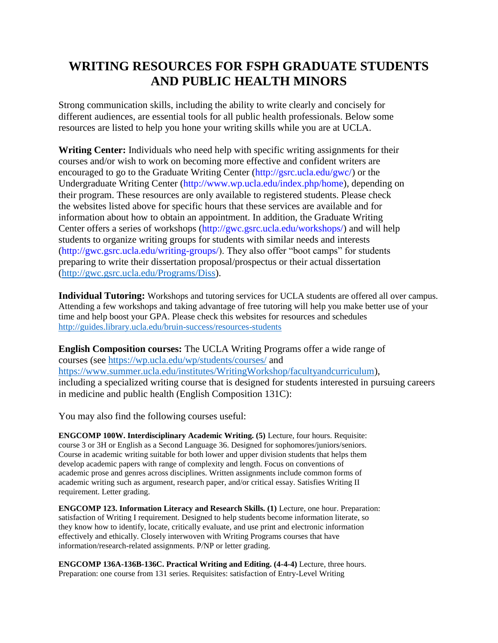## **WRITING RESOURCES FOR FSPH GRADUATE STUDENTS AND PUBLIC HEALTH MINORS**

Strong communication skills, including the ability to write clearly and concisely for different audiences, are essential tools for all public health professionals. Below some resources are listed to help you hone your writing skills while you are at UCLA.

**Writing Center:** Individuals who need help with specific writing assignments for their courses and/or wish to work on becoming more effective and confident writers are encouraged to go to the Graduate Writing Center (http://gsrc.ucla.edu/gwc/) or the Undergraduate Writing Center (http://www.wp.ucla.edu/index.php/home), depending on their program. These resources are only available to registered students. Please check the websites listed above for specific hours that these services are available and for information about how to obtain an appointment. In addition, the Graduate Writing Center offers a series of workshops (http://gwc.gsrc.ucla.edu/workshops/) and will help students to organize writing groups for students with similar needs and interests (http://gwc.gsrc.ucla.edu/writing-groups/). They also offer "boot camps" for students preparing to write their dissertation proposal/prospectus or their actual dissertation [\(http://gwc.gsrc.ucla.edu/Programs/Diss\)](http://gwc.gsrc.ucla.edu/Programs/Diss).

**Individual Tutoring:** Workshops and tutoring services for UCLA students are offered all over campus. Attending a few workshops and taking advantage of free tutoring will help you make better use of your time and help boost your GPA. Please check this websites for resources and schedules <http://guides.library.ucla.edu/bruin-success/resources-students>

**English Composition courses:** The UCLA Writing Programs offer a wide range of courses (see<https://wp.ucla.edu/wp/students/courses/> and [https://www.summer.ucla.edu/institutes/WritingWorkshop/facultyandcurriculum\)](https://www.summer.ucla.edu/institutes/WritingWorkshop/facultyandcurriculum), including a specialized writing course that is designed for students interested in pursuing careers in medicine and public health (English Composition 131C):

You may also find the following courses useful:

**ENGCOMP 100W. Interdisciplinary Academic Writing. (5)** Lecture, four hours. Requisite: course 3 or 3H or English as a Second Language 36. Designed for sophomores/juniors/seniors. Course in academic writing suitable for both lower and upper division students that helps them develop academic papers with range of complexity and length. Focus on conventions of academic prose and genres across disciplines. Written assignments include common forms of academic writing such as argument, research paper, and/or critical essay. Satisfies Writing II requirement. Letter grading.

**ENGCOMP 123. Information Literacy and Research Skills. (1)** Lecture, one hour. Preparation: satisfaction of Writing I requirement. Designed to help students become information literate, so they know how to identify, locate, critically evaluate, and use print and electronic information effectively and ethically. Closely interwoven with Writing Programs courses that have information/research-related assignments. P/NP or letter grading.

**ENGCOMP 136A-136B-136C. Practical Writing and Editing. (4-4-4)** Lecture, three hours. Preparation: one course from 131 series. Requisites: satisfaction of Entry-Level Writing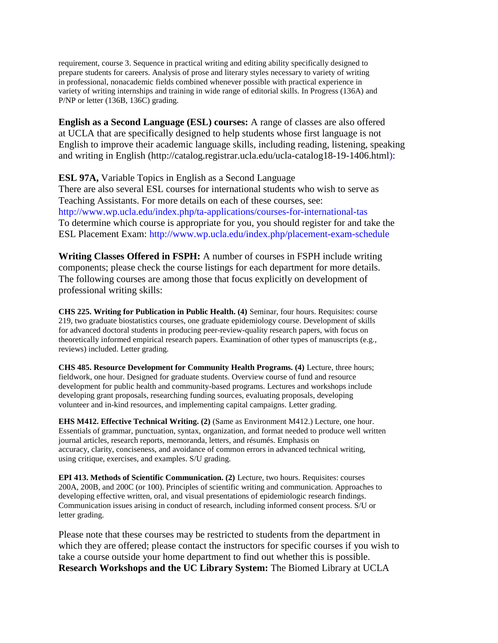requirement, course 3. Sequence in practical writing and editing ability specifically designed to prepare students for careers. Analysis of prose and literary styles necessary to variety of writing in professional, nonacademic fields combined whenever possible with practical experience in variety of writing internships and training in wide range of editorial skills. In Progress (136A) and P/NP or letter (136B, 136C) grading.

**English as a Second Language (ESL) courses:** A range of classes are also offered at UCLA that are specifically designed to help students whose first language is not English to improve their academic language skills, including reading, listening, speaking and writing in English (http://catalog.registrar.ucla.edu/ucla-catalog18-19-1406.html):

**ESL 97A,** Variable Topics in English as a Second Language There are also several ESL courses for international students who wish to serve as Teaching Assistants. For more details on each of these courses, see: http://www.wp.ucla.edu/index.php/ta-applications/courses-for-international-tas To determine which course is appropriate for you, you should register for and take the ESL Placement Exam: http://www.wp.ucla.edu/index.php/placement-exam-schedule

**Writing Classes Offered in FSPH:** A number of courses in FSPH include writing components; please check the course listings for each department for more details. The following courses are among those that focus explicitly on development of professional writing skills:

**CHS 225. Writing for Publication in Public Health. (4)** Seminar, four hours. Requisites: course 219, two graduate biostatistics courses, one graduate epidemiology course. Development of skills for advanced doctoral students in producing peer-review-quality research papers, with focus on theoretically informed empirical research papers. Examination of other types of manuscripts (e.g., reviews) included. Letter grading.

**CHS 485. Resource Development for Community Health Programs. (4)** Lecture, three hours; fieldwork, one hour. Designed for graduate students. Overview course of fund and resource development for public health and community-based programs. Lectures and workshops include developing grant proposals, researching funding sources, evaluating proposals, developing volunteer and in-kind resources, and implementing capital campaigns. Letter grading.

**EHS M412. Effective Technical Writing. (2)** (Same as Environment M412.) Lecture, one hour. Essentials of grammar, punctuation, syntax, organization, and format needed to produce well written journal articles, research reports, memoranda, letters, and résumés. Emphasis on accuracy, clarity, conciseness, and avoidance of common errors in advanced technical writing, using critique, exercises, and examples. S/U grading.

**EPI 413. Methods of Scientific Communication. (2)** Lecture, two hours. Requisites: courses 200A, 200B, and 200C (or 100). Principles of scientific writing and communication. Approaches to developing effective written, oral, and visual presentations of epidemiologic research findings. Communication issues arising in conduct of research, including informed consent process. S/U or letter grading.

Please note that these courses may be restricted to students from the department in which they are offered; please contact the instructors for specific courses if you wish to take a course outside your home department to find out whether this is possible. **Research Workshops and the UC Library System:** The Biomed Library at UCLA